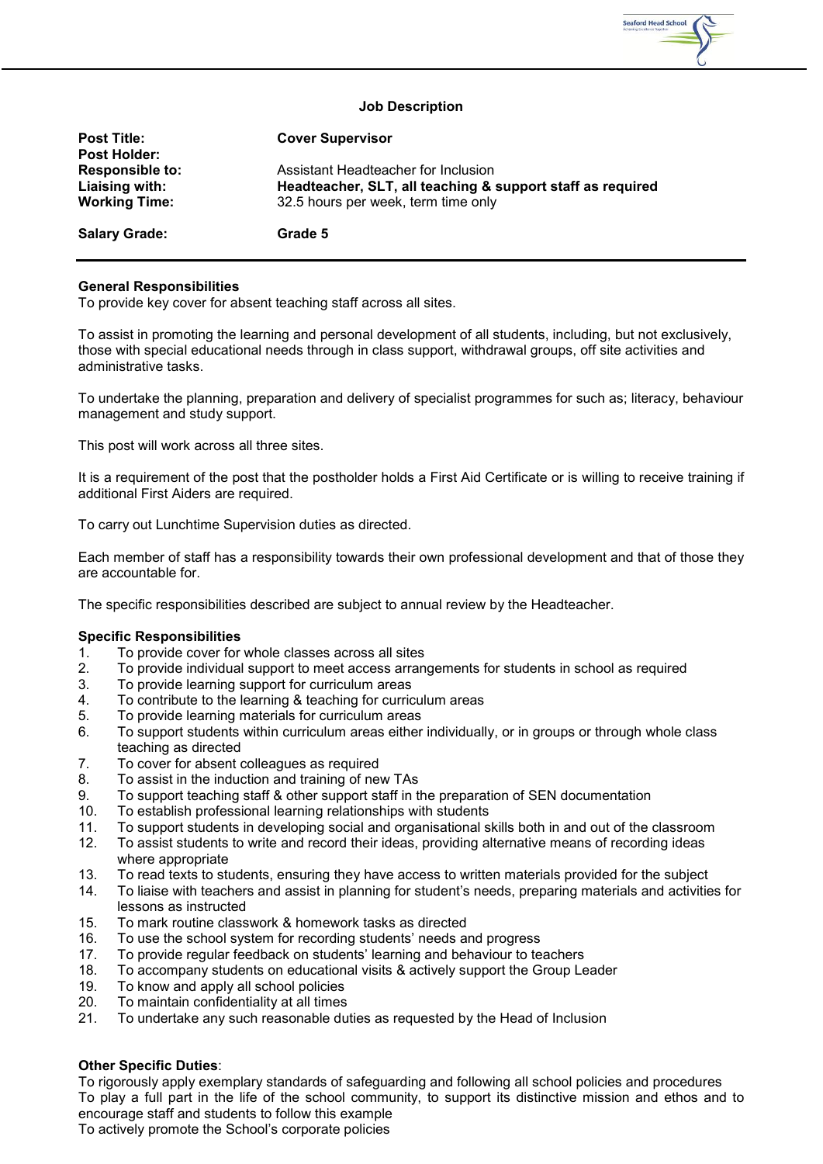

## **Job Description**

| <b>Post Title:</b><br><b>Post Holder:</b>                        | <b>Cover Supervisor</b>                                                                                                                  |
|------------------------------------------------------------------|------------------------------------------------------------------------------------------------------------------------------------------|
| <b>Responsible to:</b><br>Liaising with:<br><b>Working Time:</b> | Assistant Headteacher for Inclusion<br>Headteacher, SLT, all teaching & support staff as required<br>32.5 hours per week, term time only |
| <b>Salary Grade:</b>                                             | Grade 5                                                                                                                                  |

## **General Responsibilities**

To provide key cover for absent teaching staff across all sites.

To assist in promoting the learning and personal development of all students, including, but not exclusively, those with special educational needs through in class support, withdrawal groups, off site activities and administrative tasks.

To undertake the planning, preparation and delivery of specialist programmes for such as; literacy, behaviour management and study support.

This post will work across all three sites.

It is a requirement of the post that the postholder holds a First Aid Certificate or is willing to receive training if additional First Aiders are required.

To carry out Lunchtime Supervision duties as directed.

Each member of staff has a responsibility towards their own professional development and that of those they are accountable for.

The specific responsibilities described are subject to annual review by the Headteacher.

## **Specific Responsibilities**

- 1. To provide cover for whole classes across all sites<br>2. To provide individual support to meet access arran
- 2. To provide individual support to meet access arrangements for students in school as required
- 3. To provide learning support for curriculum areas<br>4. To contribute to the learning & teaching for curric
- To contribute to the learning & teaching for curriculum areas
- 5. To provide learning materials for curriculum areas
- 6. To support students within curriculum areas either individually, or in groups or through whole class teaching as directed
- 7. To cover for absent colleagues as required
- 8. To assist in the induction and training of new TAs
- 9. To support teaching staff & other support staff in the preparation of SEN documentation
- 10. To establish professional learning relationships with students
- 11. To support students in developing social and organisational skills both in and out of the classroom<br>12. To assist students to write and record their ideas, providing alternative means of recording ideas
- 12. To assist students to write and record their ideas, providing alternative means of recording ideas where appropriate
- 13. To read texts to students, ensuring they have access to written materials provided for the subject
- 14. To liaise with teachers and assist in planning for student's needs, preparing materials and activities for lessons as instructed
- 15. To mark routine classwork & homework tasks as directed
- 16. To use the school system for recording students' needs and progress
- 17. To provide regular feedback on students' learning and behaviour to teachers
- 18. To accompany students on educational visits & actively support the Group Leader
- 19. To know and apply all school policies<br>20. To maintain confidentiality at all times
- To maintain confidentiality at all times
- 21. To undertake any such reasonable duties as requested by the Head of Inclusion

## **Other Specific Duties**:

To rigorously apply exemplary standards of safeguarding and following all school policies and procedures To play a full part in the life of the school community, to support its distinctive mission and ethos and to encourage staff and students to follow this example To actively promote the School's corporate policies